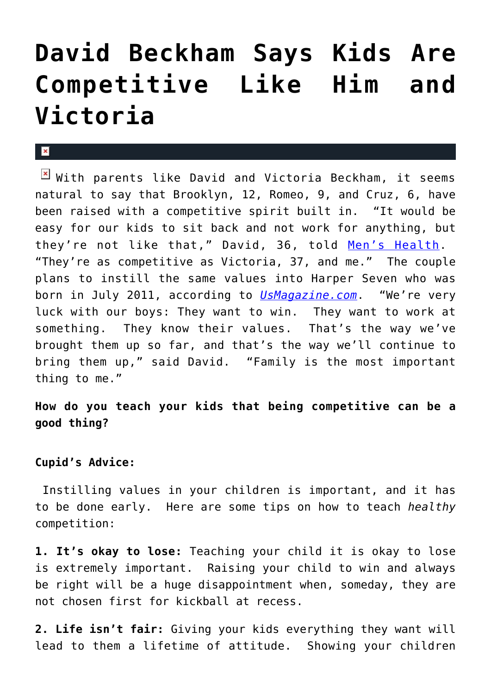## **[David Beckham Says Kids Are](https://cupidspulse.com/26958/david-beckham-kids-competitive-victoria-beckham/) [Competitive Like Him and](https://cupidspulse.com/26958/david-beckham-kids-competitive-victoria-beckham/) [Victoria](https://cupidspulse.com/26958/david-beckham-kids-competitive-victoria-beckham/)**

## $\mathbf{R}$

 $\boxed{\times}$  With parents like David and Victoria Beckham, it seems natural to say that Brooklyn, 12, Romeo, 9, and Cruz, 6, have been raised with a competitive spirit built in. "It would be easy for our kids to sit back and not work for anything, but they're not like that," David, 36, told [Men's Health](http://www.menshealth.com/). "They're as competitive as Victoria, 37, and me." The couple plans to instill the same values into Harper Seven who was born in July 2011, according to *[UsMagazine.com](http://www.usmagazine.com/)*. "We're very luck with our boys: They want to win. They want to work at something. They know their values. That's the way we've brought them up so far, and that's the way we'll continue to bring them up," said David. "Family is the most important thing to me."

**How do you teach your kids that being competitive can be a good thing?**

## **Cupid's Advice:**

Instilling values in your children is important, and it has to be done early. Here are some tips on how to teach *healthy* competition:

**1. It's okay to lose:** Teaching your child it is okay to lose is extremely important. Raising your child to win and always be right will be a huge disappointment when, someday, they are not chosen first for kickball at recess.

**2. Life isn't fair:** Giving your kids everything they want will lead to them a lifetime of attitude. Showing your children